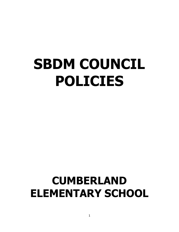# **SBDM COUNCIL POLICIES**

# **CUMBERLAND ELEMENTARY SCHOOL**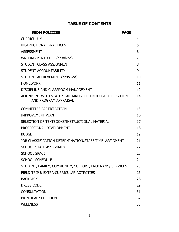# **TABLE OF CONTENTS**

| <b>SBDM POLICIES</b>                                                             | <b>PAGE</b>    |
|----------------------------------------------------------------------------------|----------------|
| <b>CURRICULUM</b>                                                                | 4              |
| <b>INSTRUCTIONAL PRACTICES</b>                                                   | 5              |
| <b>ASSESSMENT</b>                                                                | 6              |
| WRITING PORTFOLIO (absolved)                                                     | $\overline{7}$ |
| STUDENT CLASS ASSIGNMENT                                                         | 8              |
| STUDENT ACCOUNTABILITY                                                           | 9              |
| STUDENT ACHIEVEMENT (absolved)                                                   | 10             |
| <b>HOMEWORK</b>                                                                  | 11             |
| DISCIPLINE AND CLASSROOM MANAGEMENT                                              | 12             |
| ALIGNMENT WITH STATE STANDARDS, TECHNOLOGY UTILIZATION,<br>AND PROGRAM APPRAISAL | 14             |
| <b>COMMITTEE PARTICIPATION</b>                                                   | 15             |
| <b>IMPROVEMENT PLAN</b>                                                          | 16             |
| SELECTION OF TEXTBOOKS/INSTRUCTIONAL MATERIAL                                    | 17             |
| PROFESSIONAL DEVELOPMENT                                                         | 18             |
| <b>BUDGET</b>                                                                    | 19             |
| JOB CLASSIFICATION DETERMINATION/STAFF TIME ASSIGMENT                            | 21             |
| <b>SCHOOL STAFF ASSIGNMENT</b>                                                   | 22             |
| <b>SCHOOL SPACE</b>                                                              | 23             |
| <b>SCHOOL SCHEDULE</b>                                                           | 24             |
| STUDENT, FAMILY, COMMUNITY, SUPPORT, PROGRAMS/ SERVICES                          | 25             |
| FIELD TRIP & EXTRA-CURRICULAR ACTIVITIES                                         | 26             |
| <b>BACKPACK</b>                                                                  | 28             |
| <b>DRESS CODE</b>                                                                | 29             |
| <b>CONSULTATION</b>                                                              | 31             |
| PRINCIPAL SELECTION                                                              | 32             |
| <b>WELLNESS</b>                                                                  | 33             |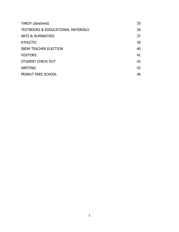| 35 |
|----|
| 36 |
| 37 |
| 38 |
| 40 |
| 41 |
| 42 |
| 43 |
| 46 |
|    |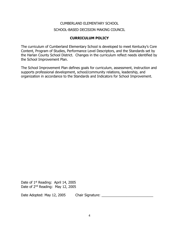# **CURRICULUM POLICY**

The curriculum of Cumberland Elementary School is developed to meet Kentucky's Core Content, Program of Studies, Performance Level Descriptors, and the Standards set by the Harlan County School District. Changes in the curriculum reflect needs identified by the School Improvement Plan.

The School Improvement Plan defines goals for curriculum, assessment, instruction and supports professional development, school/community relations, leadership, and organization in accordance to the Standards and Indicators for School Improvement.

Date of 1<sup>st</sup> Reading: April 14, 2005 Date of 2<sup>nd</sup> Reading: May 12, 2005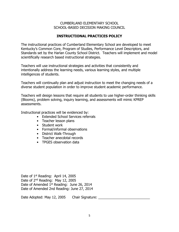# **INSTRUCTIONAL PRACTICES POLICY**

The instructional practices of Cumberland Elementary School are developed to meet Kentucky's Common Core, Program of Studies, Performance Level Descriptors, and Standards set by the Harlan County School District. Teachers will implement and model scientifically research based instructional strategies.

Teachers will use instructional strategies and activities that consistently and intentionally address the learning needs, various learning styles, and multiple intelligences of students.

Teachers will continually plan and adjust instruction to meet the changing needs of a diverse student population in order to improve student academic performance.

Teachers will design lessons that require all students to use higher-order thinking skills (Blooms), problem solving, inquiry learning, and assessments will mimic KPREP assessments.

Instructional practices will be evidenced by:

- Extended School Services referrals
- Teacher lesson plans
- Student work
- Formal/informal observations
- District Walk-Through
- Teacher anecdotal records
- TPGES observation data

Date of 1<sup>st</sup> Reading: April 14, 2005 Date of 2nd Reading: May 12, 2005 Date of Amended 1<sup>st</sup> Reading: June 26, 2014 Date of Amended 2nd Reading: June 27, 2014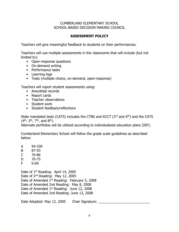# **ASSESSMENT POLICY**

Teachers will give meaningful feedback to students on their performances.

Teachers will use multiple assessments in the classrooms that will include (but not limited to):

- Open-response questions
- On-demand writing
- Performance tasks
- Learning logs
- Tests (multiple choice, on-demand, open-response)

Teachers will report student assessments using:

- Anecdotal records
- Report cards
- Teacher observations
- Student work
- Student feedback/reflections

State mandated tests (CATS) includes the CTBS and KCCT (3rd and 6<sup>th</sup>) and the CATS  $(4^{th}, 5^{th}, 7^{th},$  and  $8^{th}$ ).

Alternate portfolios will be utilized according to individualized education plans (IEP).

Cumberland Elementary School will follow the grade scale guidelines as described below:

- A 94-100
- B 87-93
- C 76-86
- D 70-75
- F 0-69

Date of 1<sup>st</sup> Reading: April 14, 2005 Date of 2nd Reading: May 12, 2005 Date of Amended 1st Reading: February 5, 2008 Date of Amended 2nd Reading: May 8, 2008 Date of Amended 1<sup>st</sup> Reading: June 12, 2008 Date of Amended 2nd Reading: June 13, 2008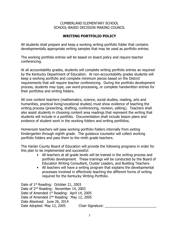# **WRITING PORTFOLIO POLICY**

All students shall prepare and keep a working writing portfolio folder that contains developmentally appropriate writing samples that may be used as portfolio entries.

The working portfolio entries will be based on board policy and require teacher conferencing.

At all accountability grades, students will complete writing portfolio entries as required by the Kentucky Department of Education. At non-accountability grades students will keep a working portfolio and complete minimum pieces based on the District requirements that will require teacher conferencing. During the portfolio development process, students may type, use word-processing, or complete handwritten entries for their portfolios and writing folders.

All core content teachers (mathematics, science, social studies, reading, arts and humanities, practical living/vocational studies) must show evidence of teaching the writing process (prewriting, drafting, conferencing, revision, editing). Teachers shall also assist students in choosing content area readings that represent the writing that students will include in a portfolio. Documentation shall include lesson plans and evidence of student work in the working folders and writing portfolios.

Homeroom teachers will pass working portfolio folders internally from exiting Kindergarten through eighth grade. The guidance counselor will collect working portfolio folders and pass them to the ninth grade teachers.

The Harlan County Board of Education will provide the following programs in order for this plan to be implemented and successful:

- All teachers at all grade levels will be trained in the writing process and portfolio development. These trainings will be conducted by the Board of Education Writing Consultant, Cluster Leaders, and Building Teachers.
- All teachers will have a writing program that explains the developmental processes involved in effectively teaching the different forms of writing required for the Kentucky Writing Portfolio.

Date of 1<sup>st</sup> Reading: October 21, 2003 Date of 2nd Reading: November 14, 2003 Date of Amended 1<sup>st</sup> Reading: April 14, 2005 Date of Amended 2<sup>nd</sup> Reading: May 12, 2005 Date Absolved: June 26, 2014 Date Adopted: May 12, 2005 Chair Signature: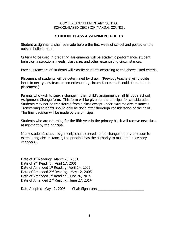#### **STUDENT CLASS ASSIGNMENT POLICY**

Student assignments shall be made before the first week of school and posted on the outside bulletin board.

Criteria to be used in preparing assignments will be academic performance, student behavior, instructional needs, class size, and other extenuating circumstances.

Previous teachers of students will classify students according to the above listed criteria.

Placement of students will be determined by draw. (Previous teachers will provide input to next year's teachers on extenuating circumstances that could alter student placement.)

Parents who wish to seek a change in their child's assignment shall fill out a School Assignment Change form. This form will be given to the principal for consideration. Students may not be transferred from a class except under extreme circumstances. Transferring students should only be done after thorough consideration of the child. The final decision will be made by the principal.

Students who are returning for the fifth year in the primary block will receive new class assignment by the principal.

If any student's class assignment/schedule needs to be changed at any time due to extenuating circumstances, the principal has the authority to make the necessary change(s).

Date of 1<sup>st</sup> Reading: March 20, 2001 Date of 2<sup>nd</sup> Reading: April 17, 2001 Date of Amended 1st Reading: April 14, 2005 Date of Amended 2nd Reading: May 12, 2005 Date of Amended 1<sup>st</sup> Reading: June 26, 2014 Date of Amended 2nd Reading: June 27, 2014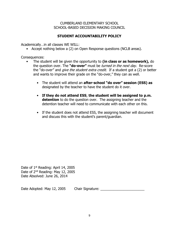# **STUDENT ACCOUNTABILITY POLICY**

Academically…in all classes WE WILL:

• Accept nothing below a (2) on Open Response questions (NCLB areas).

Consequences:

- The student will be given the opportunity to **(in class or as homework),** do the question over. The **"do-over"** must be turned in the next day. Re-score the "do-over" and *give the student extra credit*. If a student got a (2) or better and wants to improve their grade on the "do-over," they can as well.
	- The student will attend an **after-school "do over" session (ESS) as**  designated by the teacher to have the student do it over.
	- **If they do not attend ESS**, **the student will be assigned to p.m. detention** to do the question over. The assigning teacher and the detention teacher will need to communicate with each other on this.
	- If the student does not attend ESS, the assigning teacher will document and discuss this with the student's parent/guardian.

Date of 1<sup>st</sup> Reading: April 14, 2005 Date of 2nd Reading: May 12, 2005 Date Absolved: June 26, 2014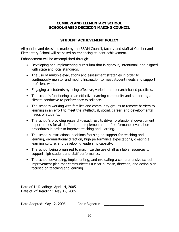# **STUDENT ACHIEVEMENT POLICY**

All policies and decisions made by the SBDM Council, faculty and staff at Cumberland Elementary School will be based on enhancing student achievement.

Enhancement will be accomplished through:

- Developing and implementing curriculum that is rigorous, intentional, and aligned with state and local standards.
- The use of multiple evaluations and assessment strategies in order to continuously monitor and modify instruction to meet student needs and support proficient work.
- Engaging all students by using effective, varied, and research-based practices.
- The school's functioning as an effective learning community and supporting a climate conducive to performance excellence.
- The school's working with families and community groups to remove barriers to learning in an effort to meet the intellectual, social, career, and developmental needs of students.
- The school's providing research-based, results driven professional development opportunities for all staff and the implementation of performance evaluation procedures in order to improve teaching and learning.
- The school's instructional decisions focusing on support for teaching and learning, organizational direction, high performance expectations, creating a learning culture, and developing leadership capacity.
- The school being organized to maximize the use of all available resources to support high student and staff performance.
- The school developing, implementing, and evaluating a comprehensive school improvement plan that communicates a clear purpose, direction, and action plan focused on teaching and learning.

Date of 1<sup>st</sup> Reading: April 14, 2005 Date of 2nd Reading: May 12, 2005

Date Adopted: May 12, 2005 Chair Signature: \_\_\_\_\_\_\_\_\_\_\_\_\_\_\_\_\_\_\_\_\_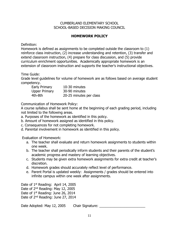# **HOMEWORK POLICY**

Definition:

Homework is defined as assignments to be completed outside the classroom to (1) reinforce class instruction, (2) increase understanding and retention, (3) transfer and extend classroom instruction, (4) prepare for class discussion, and (5) provide curriculum enrichment opportunities. Academically appropriate homework is an extension of classroom instruction and supports the teacher's instructional objectives.

Time Guide:

Grade level guidelines for volume of homework are as follows based on average student competency.

| Early Primary        | 10-30 minutes           |
|----------------------|-------------------------|
| <b>Upper Primary</b> | 30-90 minutes           |
| 4th-8th              | 20-25 minutes per class |

Communication of Homework Policy:

A course syllabus shall be sent home at the beginning of each grading period, including not limited to the following areas.

- a. Purposes of the homework as identified in this policy.
- b. Amount of homework assigned as identified in this policy.
- c. Consequences for not completing homework.
- d. Parental involvement in homework as identified in this policy.

Evaluation of Homework:

- a. The teacher shall evaluate and return homework assignments to students within one week.
- b. The teacher shall periodically inform students and their parents of the student's academic progress and mastery of learning objectives.
- c. Students may be given extra homework assignments for extra credit at teacher's discretion.
- d. Homework grades should accurately reflect level of performance.
- e. Parent Portal is updated weekly: Assignments / grades should be entered into infinite campus within one week after assignments.

Date of 1<sup>st</sup> Reading: April 14, 2005 Date of 2nd Reading: May 12, 2005 Date of 1<sup>st</sup> Reading: June 26, 2014

Date of 2nd Reading: June 27, 2014

Date Adopted: May 12, 2005 Chair Signature: \_\_\_\_\_\_\_\_\_\_\_\_\_\_\_\_\_\_\_\_\_\_\_\_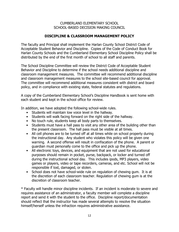# **DISCIPLINE & CLASSROOM MANAGEMENT POLICY**

The faculty and Principal shall implement the Harlan County School District Code of Acceptable Student Behavior and Discipline. Copies of the Code of Conduct Book for Harlan County Schools and the Cumberland Elementary School Discipline Policy shall be distributed by the end of the first month of school to all staff and parents.

The School Discipline Committee will review the District Code of Acceptable Student Behavior and Discipline to determine if the school needs additional discipline and classroom management measures. The committee will recommend additional discipline and classroom management measures to the school site-based council for approval. The committee will recommend additional measures consistent with district and board policy, and in compliance with existing state, federal statutes and regulations.

A copy of the Cumberland Elementary School's Discipline Handbook is sent home with each student and kept in the school office for review.

In addition, we have adopted the following school-wide rules.

- Students will maintain low voice level in the hallway.
- Students will walk facing forward on the right side of the hallway.
- No touch rule, students keep all body parts to themselves.
- Students must have a hall pass to visit any other area of the building other than the present classroom. The hall pass must be visible at all times.
- All cell phones are to be turned off at all times while on school property during the instructional day. Any student who violates this policy will be given one warning. A second offense will result in confiscation of the phone. A parent or guardian must personally come to the office and pick up the phone.
- All electronic toys, devices, and equipment that are not used for educational purposes should remain in pocket, purse, backpack, or locker and turned off during the instructional school day. This includes ipods, MP3 players, video games or players, video or tape recorders, cameras, and etc. School will not be responsible if lost, damaged, or stolen.
- School does not have school-wide rule on regulation of chewing gum. It is at the discretion of each classroom teacher. Regulation of chewing gum is at the discretion of classroom teacher.

\* Faculty will handle minor discipline incidents. If an incident is moderate to severe and requires assistance of an administrator, a faculty member will complete a discipline report and send it with the student to the office. Discipline report/documentation should reflect that the instructor has made several attempts to resolve the situation himself/herself unless the infraction requires administrative assistance.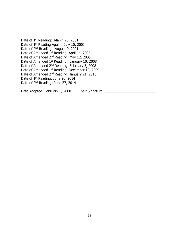Date of 1<sup>st</sup> Reading: March 20, 2001 Date of 1<sup>st</sup> Reading Again: July 10, 2001 Date of 2<sup>nd</sup> Reading August 9, 2001 Date of Amended 1<sup>st</sup> Reading: April 14, 2005 Date of Amended 2nd Reading: May 12, 2005 Date of Amended 1<sup>st</sup> Reading: January 10, 2008 Date of Amended 2nd Reading: February 5, 2008 Date of Amended 1<sup>st</sup> Reading: December 10, 2009 Date of Amended 2nd Reading: January 21, 2010 Date of 1<sup>st</sup> Reading: June 26, 2014 Date of 2nd Reading: June 27, 2014

Date Adopted: February 5, 2008 Chair Signature: \_\_\_\_\_\_\_\_\_\_\_\_\_\_\_\_\_\_\_\_\_\_\_\_\_\_\_\_\_\_\_\_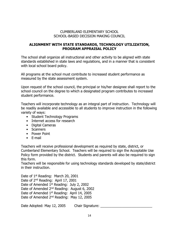### **ALIGNMENT WITH STATE STANDARDS, TECHNOLOGY UTILIZATION, PROGRAM APPRAISAL POLICY**

The school shall organize all instructional and other activity to be aligned with state standards established in state laws and regulations, and in a manner that is consistent with local school board policy.

All programs at the school must contribute to increased student performance as measured by the state assessment system.

Upon request of the school council, the principal or his/her designee shall report to the school council on the degree to which a designated program contributes to increased student performance.

Teachers will incorporate technology as an integral part of instruction. Technology will be readily available and accessible to all students to improve instruction in the following variety of ways:

- Student Technology Programs
- Internet access for research
- Digital Cameras
- Scanners
- Power Point
- E-mail

Teachers will receive professional development as required by state, district, or Cumberland Elementary School. Teachers will be required to sign the Acceptable Use Policy form provided by the district. Students and parents will also be required to sign this form.

Teachers will be responsible for using technology standards developed by state/district in their instruction.

Date of 1<sup>st</sup> Reading: March 20, 2001 Date of 2nd Reading: April 17, 2001 Date of Amended 1<sup>st</sup> Reading: July 2, 2002 Date of Amended 2nd Reading: August 6, 2002 Date of Amended 1<sup>st</sup> Reading: April 14, 2005 Date of Amended 2<sup>nd</sup> Reading: May 12, 2005

Date Adopted: May 12, 2005 Chair Signature: Letter Adopted: May 12, 2005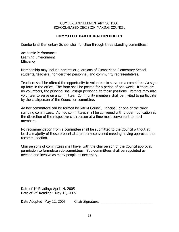# **COMMITTEE PARTICIPATION POLICY**

Cumberland Elementary School shall function through three standing committees:

Academic Performance Learning Environment **Efficiency** 

Membership may include parents or guardians of Cumberland Elementary School students, teachers, non-certified personnel, and community representatives.

Teachers shall be offered the opportunity to volunteer to serve on a committee via signup form in the office. The form shall be posted for a period of one week. If there are no volunteers, the principal shall assign personnel to those positions. Parents may also volunteer to serve on a committee. Community members shall be invited to participate by the chairperson of the Council or committee.

Ad hoc committees can be formed by SBDM Council, Principal, or one of the three standing committees. Ad hoc committees shall be convened with proper notification at the discretion of the respective chairperson at a time most convenient to most members.

No recommendation from a committee shall be submitted to the Council without at least a majority of those present at a properly convened meeting having approved the recommendation.

Chairpersons of committees shall have, with the chairperson of the Council approval, permission to formulate sub-committees. Sub-committees shall be appointed as needed and involve as many people as necessary.

Date of 1<sup>st</sup> Reading: April 14, 2005 Date of 2<sup>nd</sup> Reading: May 12, 2005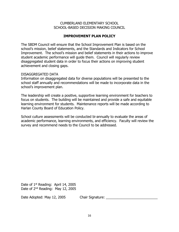# **IMPROVEMENT PLAN POLICY**

The SBDM Council will ensure that the School Improvement Plan is based on the school's mission, belief statements, and the Standards and Indicators for School Improvement. The school's mission and belief statements in their actions to improve student academic performance will guide them. Council will regularly review disaggregated student data in order to focus their actions on improving student achievement and closing gaps.

#### DISAGGREGATED DATA

Information on disaggregated data for diverse populations will be presented to the school staff annually and recommendations will be made to incorporate data in the school's improvement plan.

The leadership will create a positive, supportive learning environment for teachers to focus on students. The building will be maintained and provide a safe and equitable learning environment for students. Maintenance reports will be made according to Harlan County Board of Education Policy.

School culture assessments will be conducted bi-annually to evaluate the areas of academic performance, learning environments, and efficiency. Faculty will review the survey and recommend needs to the Council to be addressed.

Date of 1<sup>st</sup> Reading: April 14, 2005 Date of 2nd Reading: May 12, 2005

Date Adopted: May 12, 2005 Chair Signature: \_\_\_\_\_\_\_\_\_\_\_\_\_\_\_\_\_\_\_\_\_\_\_\_\_\_\_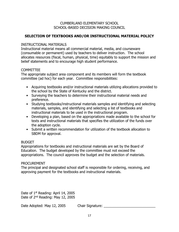# **SELECTION OF TEXTBOOKS AND/OR INSTRUCTIONAL MATERIAL POLICY**

#### INSTRUCTIONAL MATERIALS

Instructional material means all commercial material, media, and courseware (consumable or permanent) used by teachers to deliver instruction. The school allocates resources (fiscal, human, physical, time) equitably to support the mission and belief statements and to encourage high student performance.

#### **COMMITTEE**

The appropriate subject area component and its members will form the textbook committee (ad hoc) for each year. Committee responsibilities:

- Acquiring textbooks and/or instructional materials utilizing allocations provided to the school by the State of Kentucky and the district.
- Surveying the teachers to determine their instructional material needs and preference.
- Studying textbooks/instructional materials samples and identifying and selecting materials, samples, and identifying and selecting a list of textbooks and instructional materials to be used in the instructional program.
- Developing a plan, based on the appropriations made available to the school for texts and instructional materials that specifies the utilization of the funds over the adoption cycle.
- Submit a written recommendation for utilization of the textbook allocation to SBDM for approval.

#### BUDGET

Appropriations for textbooks and instructional materials are set by the Board of Education. The budget developed by the committee must not exceed the appropriations. The council approves the budget and the selection of materials.

#### **PROCUREMENT**

The principal and designated school staff is responsible for ordering, receiving, and approving payment for the textbooks and instructional materials.

Date of 1<sup>st</sup> Reading: April 14, 2005 Date of 2nd Reading: May 12, 2005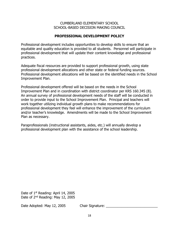#### **PROFESSIONAL DEVELOPMENT POLICY**

Professional development includes opportunities to develop skills to ensure that an equitable and quality education is provided to all students. Personnel will participate in professional development that will update their content knowledge and professional practices.

Adequate fiscal resources are provided to support professional growth, using state professional development allocations and other state or federal funding sources. Professional development allocations will be based on the identified needs in the School Improvement Plan.

Professional development offered will be based on the needs in the School Improvement Plan and in coordination with district coordinator per KRS 160.345 (8). An annual survey of professional development needs of the staff will be conducted in order to provide input to the School Improvement Plan. Principal and teachers will work together utilizing individual growth plans to make recommendations for professional development they feel will enhance the improvement of the curriculum and/or teacher's knowledge. Amendments will be made to the School Improvement Plan as necessary.

Paraprofessionals (instructional assistants, aides, etc.) will annually develop a professional development plan with the assistance of the school leadership.

Date of 1<sup>st</sup> Reading: April 14, 2005 Date of 2<sup>nd</sup> Reading: May 12, 2005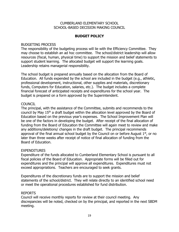#### **BUDGET POLICY**

#### BUDGETING PROCESS

The responsibility of the budgeting process will lie with the Efficiency Committee. They may choose to establish an ad hoc committee. The school/district leadership will allow resources (fiscal, human, physical time) to support the mission and belief statements to support student learning. The allocated budget will support the learning goals. Leadership retains managerial responsibility.

The school budget is prepared annually based on the allocation from the Board of Education. All funds expended by the school are included in the budget (e.g., athletic, professional development, instructional, other supplies and materials, discretionary funds, Computers for Education, salaries, etc.). The budget includes a complete financial forecast of anticipated receipts and expenditures for the school year. The budget is prepared on a form approved by the Superintendent.

#### **COUNCIL**

The principal, with the assistance of the Committee, submits and recommends to the council by May 15<sup>th</sup> a draft budget within the allocation level approved by the Board of Education based on the previous year's expenses. The School Improvement Plan will be one of the factors in developing the budget. After receipt of the final allocation of funding from the Board of Education the Committee will again meet to review and make any additions/deletions/ changes in the draft budget. The principal recommends approval of the final annual school budget by the Council on or before August  $1<sup>st</sup>$ , or no later than three weeks after receipt of notice of final allocation of funding from the Board of Education.

#### **EXPENDITURES**

Expenditure of the funds allocated to Cumberland Elementary School is pursuant to all fiscal policies of the Board of Education. Appropriate forms will be filled out for expenditures and the principal will approve all expenditures. Expenditures must not exceed appropriations. Teachers are encouraged to seek grants.

Expenditures of the discretionary funds are to support the mission and belief statements of the school/district. They will relate directly to an identified school need or meet the operational procedures established for fund distribution.

#### REPORTS

Council will receive monthly reports for review at their council meeting. Any discrepancies will be noted, checked on by the principal, and reported in the next SBDM meeting.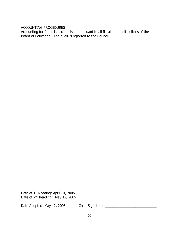ACCOUNTING PROCEDURES

Accounting for funds is accomplished pursuant to all fiscal and audit policies of the Board of Education. The audit is reported to the Council.

Date of 1<sup>st</sup> Reading: April 14, 2005 Date of 2<sup>nd</sup> Reading: May 12, 2005

Date Adopted: May 12, 2005 Chair Signature: \_\_\_\_\_\_\_\_\_\_\_\_\_\_\_\_\_\_\_\_\_\_\_\_\_\_\_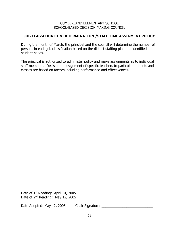#### **JOB CLASSIFICATION DETERMINATION /STAFF TIME ASSIGMENT POLICY**

During the month of March, the principal and the council will determine the number of persons in each job classification based on the district staffing plan and identified student needs.

The principal is authorized to administer policy and make assignments as to individual staff members. Decision to assignment of specific teachers to particular students and classes are based on factors including performance and effectiveness.

Date of 1<sup>st</sup> Reading: April 14, 2005 Date of 2nd Reading: May 12, 2005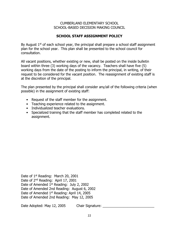# **SCHOOL STAFF ASSIGNMENT POLICY**

By August  $1<sup>st</sup>$  of each school year, the principal shall prepare a school staff assignment plan for the school year. This plan shall be presented to the school council for consultation.

All vacant positions, whether existing or new, shall be posted on the inside bulletin board within three (3) working days of the vacancy. Teachers shall have five (5) working days from the date of the posting to inform the principal, in writing, of their request to be considered for the vacant position. The reassignment of existing staff is at the discretion of the principal.

The plan presented by the principal shall consider any/all of the following criteria (when possible) in the assignment of existing staff:

- Request of the staff member for the assignment.
- Teaching experience related to the assignment.
- Individualized teacher evaluations.
- Specialized training that the staff member has completed related to the assignment.

Date of 1<sup>st</sup> Reading: March 20, 2001 Date of 2nd Reading: April 17, 2001 Date of Amended 1<sup>st</sup> Reading: July 2, 2002 Date of Amended 2nd Reading: August 6, 2002 Date of Amended 1<sup>st</sup> Reading: April 14, 2005 Date of Amended 2nd Reading: May 12, 2005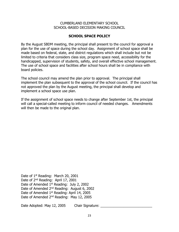#### **SCHOOL SPACE POLICY**

By the August SBDM meeting, the principal shall present to the council for approval a plan for the use of space during the school day. Assignment of school space shall be made based on federal, state, and district regulations which shall include but not be limited to criteria that considers class size, program space need, accessibility for the handicapped, supervision of students, safety, and overall effective school management. The use of school space and facilities after school hours shall be in compliance with board policies.

The school council may amend the plan prior to approval. The principal shall implement the plan subsequent to the approval of the school council. If the council has not approved the plan by the August meeting, the principal shall develop and implement a school space use plan.

If the assignment of school space needs to change after September 1st, the principal will call a special-called meeting to inform council of needed changes. Amendments will then be made to the original plan.

Date of 1<sup>st</sup> Reading: March 20, 2001 Date of 2<sup>nd</sup> Reading: April 17, 2001 Date of Amended 1<sup>st</sup> Reading: July 2, 2002 Date of Amended 2<sup>nd</sup> Reading: August 6, 2002 Date of Amended 1<sup>st</sup> Reading: April 14, 2005 Date of Amended 2<sup>nd</sup> Reading: May 12, 2005

Date Adopted: May 12, 2005 Chair Signature: Late Adopted: May 12, 2005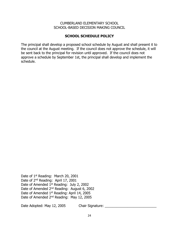#### **SCHOOL SCHEDULE POLICY**

The principal shall develop a proposed school schedule by August and shall present it to the council at the August meeting. If the council does not approve the schedule, it will be sent back to the principal for revision until approved. If the council does not approve a schedule by September 1st, the principal shall develop and implement the schedule.

Date of 1<sup>st</sup> Reading: March 20, 2001 Date of 2nd Reading: April 17, 2001 Date of Amended 1<sup>st</sup> Reading: July 2, 2002 Date of Amended 2<sup>nd</sup> Reading: August 6, 2002 Date of Amended 1<sup>st</sup> Reading: April 14, 2005 Date of Amended 2nd Reading: May 12, 2005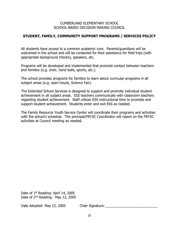# **STUDENT, FAMILY, COMMUNITY SUPPORT PROGRAMS / SERVICES POLICY**

All students have access to a common academic core. Parents/guardians will be welcomed in the school and will be contacted for their assistance for field trips (with appropriate background checks), speakers, etc.

Programs will be developed and implemented that promote contact between teachers and families (e.g. choir, hand bells, sports, etc.).

The school provides programs for families to learn about curricular programs in all subject areas (e.g. open house, Science Fair).

The Extended School Services is designed to support and promote individual student achievement in all subject areas. ESS teachers communicate with classroom teachers regarding student achievement. Staff utilizes ESS instructional time to promote and support student achievement. Students enter and exit ESS as needed.

The Family Resource Youth Service Center will coordinate their programs and activities with the school's schedule. The principal/FRYSC Coordinator will report on the FRYSC activities at Council meeting as needed.

Date of 1<sup>st</sup> Reading: April 14, 2005 Date of 2nd Reading: May 12, 2005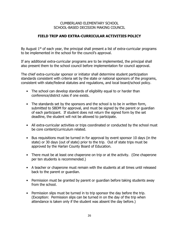# **FIELD TRIP AND EXTRA-CURRICULAR ACTIVITIES POLICY**

By August  $1<sup>st</sup>$  of each year, the principal shall present a list of extra-curricular programs to be implemented in the school for the council's approval.

If any additional extra-curricular programs are to be implemented, the principal shall also present them to the school council before implementation for council approval.

The chief extra-curricular sponsor or initiator shall determine student participation standards consistent with criteria set by the state or national sponsors of the programs, consistent with state/federal statutes and regulations, and local board/school policy.

- The school can develop standards of eligibility equal to or harder than conference/district rules if one exists.
- The standards set by the sponsors and the school is to be in written form, submitted to SBDM for approval, and must be signed by the parent or guardian of each participant. If student does not return the signed form by the set deadline, the student will not be allowed to participate.
- All extra-curricular activities or trips coordinated or conducted by the school must be core content/curriculum related.
- Bus requisitions must be turned in for approval by event sponsor 10 days (in the state) or 30 days (out of state) prior to the trip. Out of state trips must be approved by the Harlan County Board of Education.
- There must be at least one chaperone on trip or at the activity. (One chaperone per ten students is recommended.)
- A teacher or chaperone must remain with the students at all times until released back to the parent or guardian.
- Permission must be granted by parent or guardian before taking students away from the school.
- Permission slips must be turned in to trip sponsor the day before the trip. (Exception: Permission slips can be turned in on the day of the trip when attendance is taken only if the student was absent the day before.)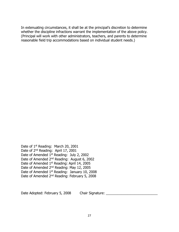In extenuating circumstances, it shall be at the principal's discretion to determine whether the discipline infractions warrant the implementation of the above policy. (Principal will work with other administrators, teachers, and parents to determine reasonable field trip accommodations based on individual student needs.)

Date of 1<sup>st</sup> Reading: March 20, 2001 Date of 2<sup>nd</sup> Reading: April 17, 2001 Date of Amended 1st Reading: July 2, 2002 Date of Amended 2<sup>nd</sup> Reading: August 6, 2002 Date of Amended 1<sup>st</sup> Reading: April 14, 2005 Date of Amended 2nd Reading: May 12, 2005 Date of Amended 1<sup>st</sup> Reading: January 10, 2008 Date of Amended 2nd Reading: February 5, 2008

Date Adopted: February 5, 2008 Chair Signature: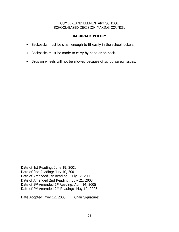# **BACKPACK POLICY**

- Backpacks must be small enough to fit easily in the school lockers.
- Backpacks must be made to carry by hand or on back.
- Bags on wheels will not be allowed because of school safety issues.

Date of 1st Reading: June 19, 2001 Date of 2nd Reading: July 10, 2001 Date of Amended 1st Reading: July 17, 2003 Date of Amended 2nd Reading: July 21, 2003 Date of 2<sup>nd</sup> Amended 1<sup>st</sup> Reading: April 14, 2005 Date of 2<sup>nd</sup> Amended 2<sup>nd</sup> Reading: May 12, 2005

Date Adopted: May 12, 2005 Chair Signature: \_\_\_\_\_\_\_\_\_\_\_\_\_\_\_\_\_\_\_\_\_\_\_\_\_\_\_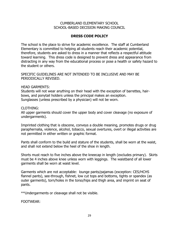# **DRESS CODE POLICY**

The school is the place to strive for academic excellence. The staff at Cumberland Elementary is committed to helping all students reach their academic potential, therefore, students are asked to dress in a manner that reflects a respectful attitude toward learning. This dress code is designed to prevent dress and appearance from distracting in any way from the educational process or pose a health or safety hazard to the student or others.

SPECIFIC GUIDELINES ARE NOT INTENDED TO BE INCLUSIVE AND MAY BE PERIODICALLY REVISED.

#### HEAD GARMENTS:

Students will not wear anything on their head with the exception of barrettes, hairbows, and ponytail holders unless the principal makes an exception. Sunglasses (unless prescribed by a physician) will not be worn.

#### CLOTHING:

All upper garments should cover the upper body and cover cleavage (no exposure of undergarments).

Imprinted clothing that is obscene, conveys a double meaning, promotes drugs or drug paraphernalia, violence, alcohol, tobacco, sexual overtures, overt or illegal activities are not permitted in either written or graphic format.

Pants shall conform to the build and stature of the students, shall be worn at the waist, and shall not extend below the heel of the shoe in length.

Shorts must reach to five inches above the kneecap in length (excludes primary). Skirts must be 4 inches above knee unless worn with leggings. The waistband of all lower garments shall be worn at waist level.

Garments which are not acceptable: lounge pants/pajamas (exception: CES/HCHS flannel pants), see-through, fishnet, low cut tops and bottoms, tights or spandex (as outer garments), torn/holes in the torso/hips and thigh area, and imprint on seat of pants.

\*\*Undergarments or cleavage shall not be visible.

FOOTWEAR: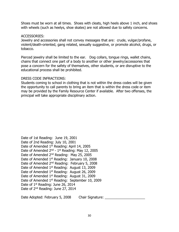Shoes must be worn at all times. Shoes with cleats, high heels above 1 inch, and shoes with wheels (such as heelys, shoe skates) are not allowed due to safety concerns.

#### ACCESSORIES:

Jewelry and accessories shall not convey messages that are: crude, vulgar/profane, violent/death-oriented, gang related, sexually suggestive, or promote alcohol, drugs, or tobacco.

Pierced jewelry shall be limited to the ear. Dog collars, tongue rings, wallet chains, chains that connect one part of a body to another or other jewelry/accessories that pose a concern for the safety of themselves, other students, or are disruptive to the educational process shall be prohibited.

#### DRESS CODE INFRACTIONS:

Students coming to school in clothing that is not within the dress codes will be given the opportunity to call parents to bring an item that is within the dress code or item may be provided by the Family Resource Center if available. After two offenses, the principal will take appropriate disciplinary action.

Date of 1st Reading: June 19, 2001 Date of 2nd Reading: July 10, 2001 Date of Amended 1<sup>st</sup> Reading: April 14, 2005 Date of Amended 2<sup>nd</sup> - 1<sup>st</sup> Reading: May 12, 2005 Date of Amended 2nd Reading: May 25, 2005 Date of Amended 1<sup>st</sup> Reading: January 10, 2008 Date of Amended 2<sup>nd</sup> Reading: February 5, 2008 Date of Amended 1<sup>st</sup> Reading: August 13, 2009 Date of Amended 1<sup>st</sup> Reading: August 26, 2009 Date of Amended 1<sup>st</sup> Reading: August 31, 2009 Date of Amended 1<sup>st</sup> Reading: September 10, 2009 Date of 1<sup>st</sup> Reading: June 26, 2014 Date of 2nd Reading: June 27, 2014

Date Adopted: February 5, 2008 Chair Signature: \_\_\_\_\_\_\_\_\_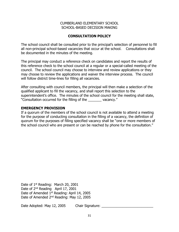# **CONSULTATION POLICY**

The school council shall be consulted prior to the principal's selection of personnel to fill all non-principal school-based vacancies that occur at the school. Consultations shall be documented in the minutes of the meeting.

The principal may conduct a reference check on candidates and report the results of this reference check to the school council at a regular or a special-called meeting of the council. The school council may choose to interview and review applications or they may choose to review the applications and waiver the interview process. The council will follow district time-lines for filling all vacancies.

After consulting with council members, the principal will then make a selection of the qualified applicant to fill the vacancy, and shall report this selection to the superintendent's office. The minutes of the school council for the meeting shall state, "Consultation occurred for the filling of the \_\_\_\_\_\_\_ vacancy."

#### **EMERGENCY PROVISION**

If a quorum of the members of the school council is not available to attend a meeting for the purpose of conducting consultation in the filling of a vacancy, the definition of quorum for the purposes of filling specified vacancy shall be "one or more members of the school council who are present or can be reached by phone for the consultation."

Date of 1<sup>st</sup> Reading: March 20, 2001 Date of 2<sup>nd</sup> Reading April 17, 2001 Date of Amended 1<sup>st</sup> Reading: April 14, 2005 Date of Amended 2nd Reading: May 12, 2005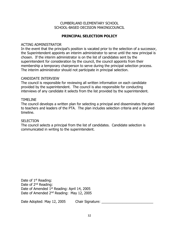### **PRINCIPAL SELECTION POLICY**

#### ACTING ADMINISTRATOR

In the event that the principal's position is vacated prior to the selection of a successor, the Superintendent appoints an interim administrator to serve until the new principal is chosen. If the interim administrator is on the list of candidates sent by the superintendent for consideration by the council, the council appoints from their membership a temporary chairperson to serve during the principal selection process. The interim administrator should not participate in principal selection.

#### CANDIDATE INTERVIEW

The council is responsible for reviewing all written information on each candidate provided by the superintendent. The council is also responsible for conducting interviews of any candidate it selects from the list provided by the superintendent.

#### TIMELINE

The council develops a written plan for selecting a principal and disseminates the plan to teachers and leaders of the PTA. The plan includes selection criteria and a planned timeline.

#### **SELECTION**

The council selects a principal from the list of candidates. Candidate selection is communicated in writing to the superintendent.

Date of 1<sup>st</sup> Reading: Date of 2<sup>nd</sup> Reading: Date of Amended 1<sup>st</sup> Reading: April 14, 2005 Date of Amended 2<sup>nd</sup> Reading: May 12, 2005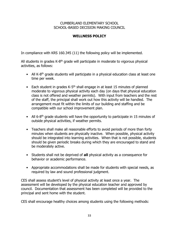# **WELLNESS POLICY**

In compliance with KRS 160.345 (11) the following policy will be implemented.

All students in grades K-8<sup>th</sup> grade will participate in moderate to vigorous physical activities, as follows:

- All K-8<sup>th</sup> grade students will participate in a physical education class at least one time per week.
- Each student in grades  $K$ -5<sup>th</sup> shall engage in at least 15 minutes of planned moderate to vigorous physical activity each day (on days that physical education class is not offered and weather permits). With input from teachers and the rest of the staff, the principal shall work out how this activity will be handled. The arrangement must fit within the limits of our building and staffing and be compatible with our school improvement plan.
- All 6-8<sup>th</sup> grade students will have the opportunity to participate in 15 minutes of outside physical activities, if weather permits.
- Teachers shall make all reasonable efforts to avoid periods of more than forty minutes when students are physically inactive. When possible, physical activity should be integrated into learning activities. When that is not possible, students should be given periodic breaks during which they are encouraged to stand and be moderately active.
- Students shall not be deprived of **all** physical activity as a consequence for behavior or academic performance.
- Appropriate accommodations shall be made for students with special needs, as required by law and sound professional judgment.

CES shall assess student's level of physical activity at least once a year. The assessment will be developed by the physical education teacher and approved by council. Documentation that assessment has been completed will be provided to the principal and sent home with the student.

CES shall encourage healthy choices among students using the following methods: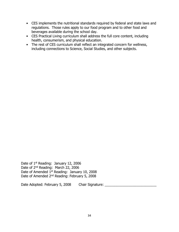- CES implements the nutritional standards required by federal and state laws and regulations. Those rules apply to our food program and to other food and beverages available during the school day.
- CES Practical Living curriculum shall address the full core content, including health, consumerism, and physical education.
- The rest of CES curriculum shall reflect an integrated concern for wellness, including connections to Science, Social Studies, and other subjects.

Date of 1<sup>st</sup> Reading: January 12, 2006 Date of 2nd Reading: March 22, 2006 Date of Amended 1<sup>st</sup> Reading: January 10, 2008 Date of Amended 2nd Reading: February 5, 2008

Date Adopted: February 5, 2008 Chair Signature: Chair Signature: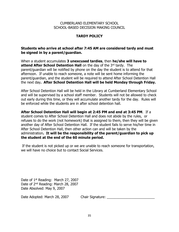# **TARDY POLICY**

#### **Students who arrive at school after 7:45 AM are considered tardy and must be signed in by a parent/guardian.**

When a student accumulates **3 unexcused tardies**, then **he/she will have to attend After School Detention Hall** on the day of the 3<sup>rd</sup> tardy. The parent/guardian will be notified by phone on the day the student is to attend for that afternoon. If unable to reach someone, a note will be sent home informing the parent/guardian, and the student will be required to attend After School Detention Hall the next day**. After School Detention Hall will be held Monday through Friday.**

After School Detention Hall will be held in the Library at Cumberland Elementary School and will be supervised by a school staff member. Students will not be allowed to check out early during this time, or they will accumulate another tardy for the day. Rules will be enforced while the students are in after school detention hall.

**After School Detention Hall will begin at 2:45 PM and end at 3:45 PM**. If a student comes to After School Detention Hall and does not abide by the rules, or refuses to do the work (not homework) that is assigned to them, then they will be given another day of After School Detention Hall. If the student fails to serve his/her time in After School Detention Hall, then other action can and will be taken by the administration**. It will be the responsibility of the parent/guardian to pick up the student at the end of the 60 minute period.** 

If the student is not picked up or we are unable to reach someone for transportation, we will have no choice but to contact Social Services.

Date of 1<sup>st</sup> Reading: March 27, 2007 Date of 2nd Reading: March 28, 2007 Date Absolved: May 9, 2007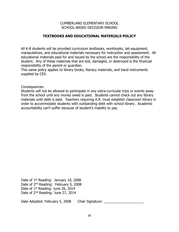### **TEXTBOOKS AND EDUCATIONAL MATERIALS POLICY**

All K-8 students will be provided curriculum textbooks, workbooks, lab equipment, manipulatives, and educational materials necessary for instruction and assessment. All educational materials paid for and issued by the school are the responsibility of the student. Any of these materials that are lost, damaged, or destroyed is the financial responsibility of the parent or guardian.

This same policy applies to library books, literacy materials, and band instruments supplied by CES.

Consequences:

Students will not be allowed to participate in any extra-curricular trips or events away from the school until any money owed is paid. Students cannot check out any library materials until debt is paid. Teachers requiring A.R. must establish classroom library in order to accommodate students with outstanding debt with school library. Academic accountability can't suffer because of student's inability to pay.

Date of 1<sup>st</sup> Reading: January 10, 2008 Date of 2<sup>nd</sup> Reading: February 5, 2008 Date of 1<sup>st</sup> Reading: June 26, 2014 Date of 2nd Reading: June 27, 2014

Date Adopted: February 5, 2008 Chair Signature: \_\_\_\_\_\_\_\_\_\_\_\_\_\_\_\_\_\_\_\_\_\_\_\_\_\_\_\_\_\_\_\_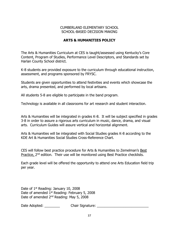# **ARTS & HUMANITIES POLICY**

The Arts & Humanities Curriculum at CES is taught/assessed using Kentucky's Core Content, Program of Studies, Performance Level Descriptors, and Standards set by Harlan County School district.

K-8 students are provided exposure to the curriculum through educational instruction, assessment, and programs sponsored by FRYSC.

Students are given opportunities to attend festivities and events which showcase the arts, drama presented, and performed by local artisans.

All students 5-8 are eligible to participate in the band program.

Technology is available in all classrooms for art research and student interaction.

Arts & Humanities will be integrated in grades K-8. It will be subject specified in grades 3-8 in order to assure a rigorous arts curriculum in music, dance, drama, and visual arts. Curriculum Guides will assure vertical and horizontal alignment.

Arts & Humanities will be integrated with Social Studies grades K-8 according to the KDE Art & Humanities Social Studies Cross-Reference Chart.

CES will follow best practice procedure for Arts & Humanities to Zemelman's Best Practice, 2<sup>nd</sup> edition. Their use will be monitored using Best Practice checklists.

Each grade level will be offered the opportunity to attend one Arts Education field trip per year.

Date of 1<sup>st</sup> Reading: January 10, 2008 Date of amended 1<sup>st</sup> Reading: February 5, 2008 Date of amended 2<sup>nd</sup> Reading: May 5, 2008

Date Adopted: \_\_\_\_\_\_\_\_ Chair Signature: \_\_\_\_\_\_\_\_\_\_\_\_\_\_\_\_\_\_\_\_\_\_\_\_\_\_\_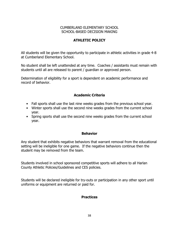# **ATHLETIC POLICY**

All students will be given the opportunity to participate in athletic activities in grade 4-8 at Cumberland Elementary School.

No student shall be left unattended at any time. Coaches / assistants must remain with students until all are released to parent / guardian or approved person.

Determination of eligibility for a sport is dependent on academic performance and record of behavior.

# **Academic Criteria**

- Fall sports shall use the last nine weeks grades from the previous school year.
- Winter sports shall use the second nine weeks grades from the current school year.
- Spring sports shall use the second nine weeks grades from the current school year.

# **Behavior**

Any student that exhibits negative behaviors that warrant removal from the educational setting will be ineligible for one game. If the negative behaviors continue then the student may be removed from the team.

Students involved in school sponsored competitive sports will adhere to all Harlan County Athletic Policies/Guidelines and CES policies.

Students will be declared ineligible for try-outs or participation in any other sport until uniforms or equipment are returned or paid for.

# **Practices**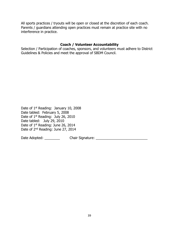All sports practices / tryouts will be open or closed at the discretion of each coach. Parents / guardians attending open practices must remain at practice site with no interference in practice.

#### **Coach / Volunteer Accountability**

Selection / Participation of coaches, sponsors, and volunteers must adhere to District Guidelines & Policies and meet the approval of SBDM Council.

Date of 1<sup>st</sup> Reading: January 10, 2008 Date tabled: February 5, 2008 Date of 1<sup>st</sup> Reading: July 26, 2010 Date tabled: July 29, 2010 Date of 1<sup>st</sup> Reading: June 26, 2014 Date of 2nd Reading: June 27, 2014

Date Adopted: \_\_\_\_\_\_\_\_\_\_\_\_\_\_ Chair Signature: \_\_\_\_\_\_\_\_\_\_\_\_\_\_\_\_\_\_\_\_\_\_\_\_\_\_\_\_\_\_\_\_\_\_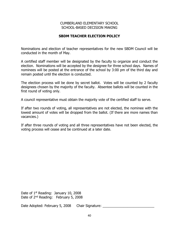### **SBDM TEACHER ELECTION POLICY**

Nominations and election of teacher representatives for the new SBDM Council will be conducted in the month of May.

A certified staff member will be designated by the faculty to organize and conduct the election. Nominations will be accepted by the designee for three school days. Names of nominees will be posted at the entrance of the school by 3:00 pm of the third day and remain posted until the election is conducted.

The election process will be done by secret ballot. Votes will be counted by 2 faculty designees chosen by the majority of the faculty. Absentee ballots will be counted in the first round of voting only.

A council representative must obtain the majority vote of the certified staff to serve.

If after two rounds of voting, all representatives are not elected, the nominee with the lowest amount of votes will be dropped from the ballot. (If there are more names than vacancies.)

If after three rounds of voting and all three representatives have not been elected, the voting process will cease and be continued at a later date.

Date of 1<sup>st</sup> Reading: January 10, 2008 Date of 2<sup>nd</sup> Reading: February 5, 2008

Date Adopted: February 5, 2008 Chair Signature: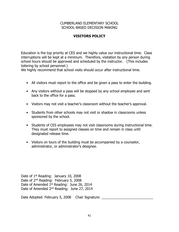# **VISITORS POLICY**

Education is the top priority at CES and we highly value our instructional time. Class interruptions will be kept at a minimum. Therefore, visitation by any person during school hours should be approved and scheduled by the instructor. (This includes loitering by school personnel.)

We highly recommend that school visits should occur after instructional time.

- All visitors must report to the office and be given a pass to enter the building.
- Any visitors without a pass will be stopped by any school employee and sent back to the office for a pass.
- Visitors may not visit a teacher's classroom without the teacher's approval.
- Students from other schools may not visit or shadow in classrooms unless sponsored by the school.
- Students of CES employees may not visit classrooms during instructional time. They must report to assigned classes on time and remain in class until designated release time.
- Visitors on tours of the building must be accompanied by a counselor, administrator, or administrator's designee.

Date of 1<sup>st</sup> Reading: January 10, 2008 Date of 2<sup>nd</sup> Reading: February 5, 2008 Date of Amended 1<sup>st</sup> Reading: June 26, 2014 Date of Amended 2nd Reading: June 27, 2014

Date Adopted: February 5, 2008 Chair Signature: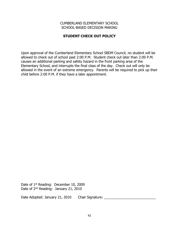# **STUDENT CHECK OUT POLICY**

Upon approval of the Cumberland Elementary School SBDM Council, no student will be allowed to check out of school past 2:00 P.M. Student check out later than 2:00 P.M. causes an additional parking and safety hazard in the front parking area of the Elementary School, and interrupts the final class of the day. Check out will only be allowed in the event of an extreme emergency. Parents will be required to pick up their child before 2:00 P.M. if they have a later appointment.

Date of 1<sup>st</sup> Reading: December 10, 2009 Date of 2<sup>nd</sup> Reading: January 21, 2010

Date Adopted: January 21, 2010 Chair Signature: \_\_\_\_\_\_\_\_\_\_\_\_\_\_\_\_\_\_\_\_\_\_\_\_\_\_\_\_\_\_\_\_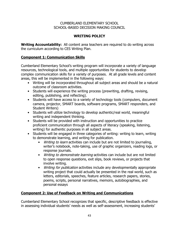# **WRITING POLICY**

**Writing Accountability:** All content area teachers are required to do writing across the curriculum according to CES Writing Plan.

# **Component 1: Communication Skills**

Cumberland Elementary School's writing program will incorporate a variety of language resources, technological tools, and multiple opportunities for students to develop complex communication skills for a variety of purposes. At all grade levels and content areas, this will be implemented in the following ways:

- Writing will be incorporated throughout all subject areas and should be a natural outcome of classroom activities.
- Students will experience the writing process (prewriting, drafting, revising, editing, publishing, and reflecting).
- Students will have access to a variety of technology tools (computers, document camera, projector, SMART boards, software programs, SMART responders, and Student Writers)
- Students will utilize technology to develop authentic/real world, meaningful writing and independent thinking.
- Students will be provided with instruction and opportunities to practice proficient communication through all aspects of literacy (speaking, listening, writing) for authentic purposes in all subject areas.
- Students will be engaged in three categories of writing: writing to learn, writing to demonstrate learning, and writing for publication.
	- *Writing to learn* activities can include but are not limited to journaling, writer's notebook, note-taking, use of graphic organizers, reading logs, or response journals.
	- Writing to demonstrate learning activities can include but are not limited to open response questions, exit slips, book reviews, or projects that involve writing.
	- Writing for publication activities include any developmentally appropriate writing project that could actually be presented in the real world, such as letters, editorials, speeches, feature articles, research papers, stories, poems, scripts, personal narratives, memoirs, autobiographies, and personal essays

# **Component 2: Use of Feedback on Writing and Communications**

Cumberland Elementary School recognizes that specific, descriptive feedback is effective in assessing individual students' needs as well as self-assessment, increasing students'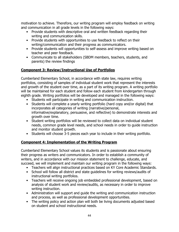motivation to achieve. Therefore, our writing program will employ feedback on writing and communication in all grade levels in the following ways:

- Provide students with descriptive oral and written feedback regarding their writing and communication skills.
- Provide students with opportunities to use feedback to reflect on their writing/communication and their progress as communicators.
- Provide students will opportunities to self-assess and improve writing based on teacher and peer feedback.
- Communicate to all stakeholders (SBDM members, teachers, students, and parents) the review findings

# **Component 3: Review/Instructional Use of Portfolios**

Cumberland Elementary School, in accordance with state law, requires writing portfolios, consisting of samples of individual student work that represent the interests and growth of the student over time, as a part of its writing program. A writing portfolio will be maintained for each student and follow each student from kindergarten through eighth grade. Writing portfolios will be developed and managed in the following ways:

- Students will participate in writing and communication instruction.
- Students will complete a yearly writing portfolio (hard copy and/or digital) that incorporates all categories of writing (narrative/personal, informative/explanatory, persuasive, and reflective) to demonstrate interests and growth over time.
- Student writing portfolios will be reviewed to collect data on individual student needs, common grade level needs, and school needs in order to guide instruction and monitor student growth.
- Students will choose 3-5 pieces each year to include in their writing portfolio.

# **Component 4: Implementation of the Writing Program**

Cumberland Elementary School values its students and is passionate about ensuring their progress as writers and communicators. In order to establish a community of writers, and in accordance with our mission statement to challenge, educate, and succeed, we will implement and maintain our writing program in the following ways:

- Teachers will align instructional practices based on KY Core Academic Standards.
- School will follow all district and state guidelines for writing reviews/audits of instructional writing portfolios.
- Teachers will receive ongoing job embedded professional development, based on analysis of student work and review/audits, as necessary in order to improve writing instruction.
- Administration will support and guide the writing and communication instruction and process, as well as professional development opportunities.
- The writing policy and action plan will both be living documents adjusted based on student and school instructional needs.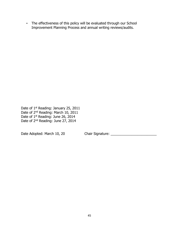• The effectiveness of this policy will be evaluated through our School Improvement Planning Process and annual writing reviews/audits.

Date of 1<sup>st</sup> Reading: January 25, 2011 Date of 2<sup>nd</sup> Reading: March 10, 2011 Date of 1<sup>st</sup> Reading: June 26, 2014 Date of 2<sup>nd</sup> Reading: June 27, 2014

Date Adopted: March 10, 20 Chair Signature: \_\_\_\_\_\_\_\_\_\_\_\_\_\_\_\_\_\_\_\_\_\_\_\_